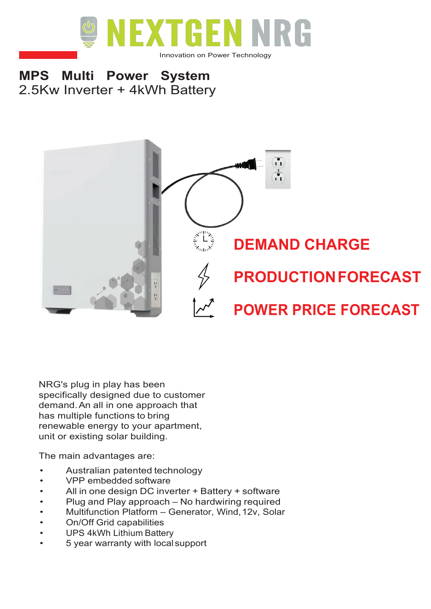

## **MPS Multi Power System** 2.5Kw Inverter + 4kWh Battery



NRG's plug in play has been specifically designed due to customer demand.An all in one approach that has multiple functions to bring renewable energy to your apartment, unit or existing solar building.

The main advantages are:

- Australian patented technology
- VPP embedded software
- All in one design DC inverter + Battery + software
- Plug and Play approach No hardwiring required
- Multifunction Platform Generator, Wind,12v, Solar
- On/Off Grid capabilities
- UPS 4kWh Lithium Battery
- 5 year warranty with localsupport